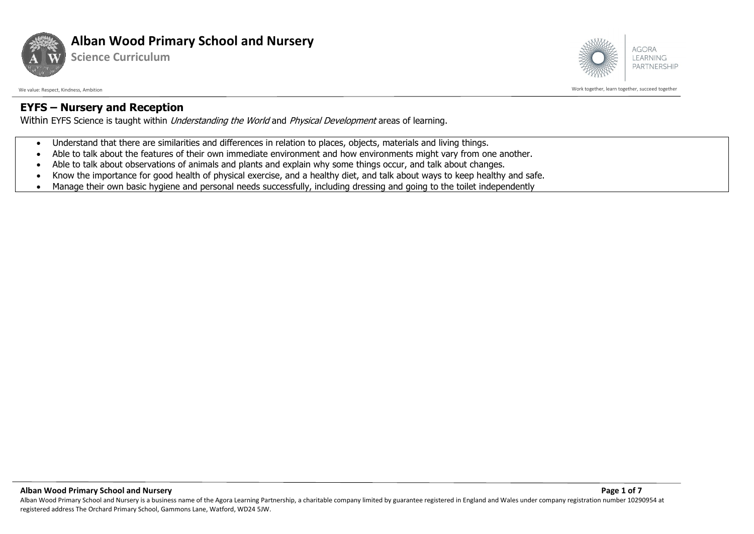

**Science Curriculum**



We value: Respect, Kindness, Ambition with the succeed together and together and the succeed together and together succeed together succeed together

## **EYFS – Nursery and Reception**

Within EYFS Science is taught within *Understanding the World* and *Physical Development* areas of learning.

- Understand that there are similarities and differences in relation to places, objects, materials and living things.
- Able to talk about the features of their own immediate environment and how environments might vary from one another.
- Able to talk about observations of animals and plants and explain why some things occur, and talk about changes.
- Know the importance for good health of physical exercise, and a healthy diet, and talk about ways to keep healthy and safe.
- Manage their own basic hygiene and personal needs successfully, including dressing and going to the toilet independently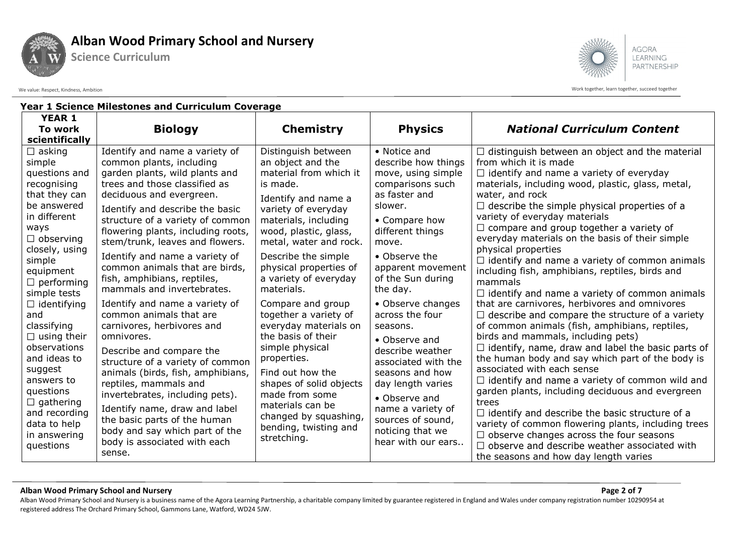

**Science Curriculum**

**AGORA** LEARNING PARTNERSHIP

We value: Respect, Kindness, Ambition Work together, learn together, succeed together

| <b>Year 1 Science Milestones and Curriculum Coverage</b>                                                                                                                                                                                                                                                                                                                                                                                    |                                                                                                                                                                                                                                                                                                                                                                                                                                                                                                                                                                                                                                                                                                                                                                                                                                                                   |                                                                                                                                                                                                                                                                                                                                                                                                                                                                                                                                                                                      |                                                                                                                                                                                                                                                                                                                                                                                                                                                                                             |                                                                                                                                                                                                                                                                                                                                                                                                                                                                                                                                                                                                                                                                                                                                                                                                                                                                                                                                                                                                                                                                                                                                                                                                                                                                                                                                                     |  |  |
|---------------------------------------------------------------------------------------------------------------------------------------------------------------------------------------------------------------------------------------------------------------------------------------------------------------------------------------------------------------------------------------------------------------------------------------------|-------------------------------------------------------------------------------------------------------------------------------------------------------------------------------------------------------------------------------------------------------------------------------------------------------------------------------------------------------------------------------------------------------------------------------------------------------------------------------------------------------------------------------------------------------------------------------------------------------------------------------------------------------------------------------------------------------------------------------------------------------------------------------------------------------------------------------------------------------------------|--------------------------------------------------------------------------------------------------------------------------------------------------------------------------------------------------------------------------------------------------------------------------------------------------------------------------------------------------------------------------------------------------------------------------------------------------------------------------------------------------------------------------------------------------------------------------------------|---------------------------------------------------------------------------------------------------------------------------------------------------------------------------------------------------------------------------------------------------------------------------------------------------------------------------------------------------------------------------------------------------------------------------------------------------------------------------------------------|-----------------------------------------------------------------------------------------------------------------------------------------------------------------------------------------------------------------------------------------------------------------------------------------------------------------------------------------------------------------------------------------------------------------------------------------------------------------------------------------------------------------------------------------------------------------------------------------------------------------------------------------------------------------------------------------------------------------------------------------------------------------------------------------------------------------------------------------------------------------------------------------------------------------------------------------------------------------------------------------------------------------------------------------------------------------------------------------------------------------------------------------------------------------------------------------------------------------------------------------------------------------------------------------------------------------------------------------------------|--|--|
| <b>YEAR 1</b><br>To work<br>scientifically                                                                                                                                                                                                                                                                                                                                                                                                  | <b>Biology</b>                                                                                                                                                                                                                                                                                                                                                                                                                                                                                                                                                                                                                                                                                                                                                                                                                                                    | <b>Chemistry</b>                                                                                                                                                                                                                                                                                                                                                                                                                                                                                                                                                                     | <b>Physics</b>                                                                                                                                                                                                                                                                                                                                                                                                                                                                              | <b>National Curriculum Content</b>                                                                                                                                                                                                                                                                                                                                                                                                                                                                                                                                                                                                                                                                                                                                                                                                                                                                                                                                                                                                                                                                                                                                                                                                                                                                                                                  |  |  |
| $\Box$ asking<br>simple<br>questions and<br>recognising<br>that they can<br>be answered<br>in different<br>ways<br>$\Box$ observing<br>closely, using<br>simple<br>equipment<br>$\Box$ performing<br>simple tests<br>$\Box$ identifying<br>and<br>classifying<br>$\Box$ using their<br>observations<br>and ideas to<br>suggest<br>answers to<br>questions<br>$\Box$ gathering<br>and recording<br>data to help<br>in answering<br>questions | Identify and name a variety of<br>common plants, including<br>garden plants, wild plants and<br>trees and those classified as<br>deciduous and evergreen.<br>Identify and describe the basic<br>structure of a variety of common<br>flowering plants, including roots,<br>stem/trunk, leaves and flowers.<br>Identify and name a variety of<br>common animals that are birds,<br>fish, amphibians, reptiles,<br>mammals and invertebrates.<br>Identify and name a variety of<br>common animals that are<br>carnivores, herbivores and<br>omnivores.<br>Describe and compare the<br>structure of a variety of common<br>animals (birds, fish, amphibians,<br>reptiles, mammals and<br>invertebrates, including pets).<br>Identify name, draw and label<br>the basic parts of the human<br>body and say which part of the<br>body is associated with each<br>sense. | Distinguish between<br>an object and the<br>material from which it<br>is made.<br>Identify and name a<br>variety of everyday<br>materials, including<br>wood, plastic, glass,<br>metal, water and rock.<br>Describe the simple<br>physical properties of<br>a variety of everyday<br>materials.<br>Compare and group<br>together a variety of<br>everyday materials on<br>the basis of their<br>simple physical<br>properties.<br>Find out how the<br>shapes of solid objects<br>made from some<br>materials can be<br>changed by squashing,<br>bending, twisting and<br>stretching. | • Notice and<br>describe how things<br>move, using simple<br>comparisons such<br>as faster and<br>slower.<br>• Compare how<br>different things<br>move.<br>• Observe the<br>apparent movement<br>of the Sun during<br>the day.<br>• Observe changes<br>across the four<br>seasons.<br>• Observe and<br>describe weather<br>associated with the<br>seasons and how<br>day length varies<br>• Observe and<br>name a variety of<br>sources of sound,<br>noticing that we<br>hear with our ears | $\Box$ distinguish between an object and the material<br>from which it is made<br>$\Box$ identify and name a variety of everyday<br>materials, including wood, plastic, glass, metal,<br>water, and rock<br>$\Box$ describe the simple physical properties of a<br>variety of everyday materials<br>$\Box$ compare and group together a variety of<br>everyday materials on the basis of their simple<br>physical properties<br>$\Box$ identify and name a variety of common animals<br>including fish, amphibians, reptiles, birds and<br>mammals<br>$\Box$ identify and name a variety of common animals<br>that are carnivores, herbivores and omnivores<br>$\Box$ describe and compare the structure of a variety<br>of common animals (fish, amphibians, reptiles,<br>birds and mammals, including pets)<br>$\Box$ identify, name, draw and label the basic parts of<br>the human body and say which part of the body is<br>associated with each sense<br>$\Box$ identify and name a variety of common wild and<br>garden plants, including deciduous and evergreen<br>trees<br>$\Box$ identify and describe the basic structure of a<br>variety of common flowering plants, including trees<br>$\Box$ observe changes across the four seasons<br>$\Box$ observe and describe weather associated with<br>the seasons and how day length varies |  |  |

**Alban Wood Primary School and Nursery Page 2 of 7**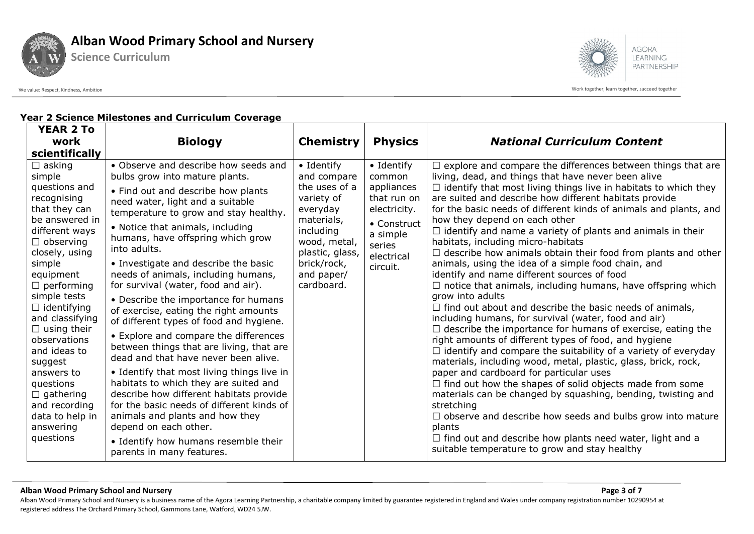

**Science Curriculum**



We value: Respect, Kindness, Ambition work together, learn together, learn together, learn together, learn together, learn together, learn together, succeed together

### **Year 2 Science Milestones and Curriculum Coverage**

| <b>YEAR 2 To</b>                                                                                                                                                                                                                                                                                                                                                                                                                      |                                                                                                                                                                                                                                                                                                                                                                                                                                                                                                                                                                                                                                                                                                                                                                                                                                                                                                                                                                                   |                                                                                                                                                                                       |                                                                                                                                  |                                                                                                                                                                                                                                                                                                                                                                                                                                                                                                                                                                                                                                                                                                                                                                                                                                                                                                                                                                                                                                                                                                                                                                                                                                                                                                                                                                                                                                                                                                                                                      |
|---------------------------------------------------------------------------------------------------------------------------------------------------------------------------------------------------------------------------------------------------------------------------------------------------------------------------------------------------------------------------------------------------------------------------------------|-----------------------------------------------------------------------------------------------------------------------------------------------------------------------------------------------------------------------------------------------------------------------------------------------------------------------------------------------------------------------------------------------------------------------------------------------------------------------------------------------------------------------------------------------------------------------------------------------------------------------------------------------------------------------------------------------------------------------------------------------------------------------------------------------------------------------------------------------------------------------------------------------------------------------------------------------------------------------------------|---------------------------------------------------------------------------------------------------------------------------------------------------------------------------------------|----------------------------------------------------------------------------------------------------------------------------------|------------------------------------------------------------------------------------------------------------------------------------------------------------------------------------------------------------------------------------------------------------------------------------------------------------------------------------------------------------------------------------------------------------------------------------------------------------------------------------------------------------------------------------------------------------------------------------------------------------------------------------------------------------------------------------------------------------------------------------------------------------------------------------------------------------------------------------------------------------------------------------------------------------------------------------------------------------------------------------------------------------------------------------------------------------------------------------------------------------------------------------------------------------------------------------------------------------------------------------------------------------------------------------------------------------------------------------------------------------------------------------------------------------------------------------------------------------------------------------------------------------------------------------------------------|
| work                                                                                                                                                                                                                                                                                                                                                                                                                                  | <b>Biology</b>                                                                                                                                                                                                                                                                                                                                                                                                                                                                                                                                                                                                                                                                                                                                                                                                                                                                                                                                                                    | <b>Chemistry</b>                                                                                                                                                                      | <b>Physics</b>                                                                                                                   | <b>National Curriculum Content</b>                                                                                                                                                                                                                                                                                                                                                                                                                                                                                                                                                                                                                                                                                                                                                                                                                                                                                                                                                                                                                                                                                                                                                                                                                                                                                                                                                                                                                                                                                                                   |
| scientifically                                                                                                                                                                                                                                                                                                                                                                                                                        |                                                                                                                                                                                                                                                                                                                                                                                                                                                                                                                                                                                                                                                                                                                                                                                                                                                                                                                                                                                   |                                                                                                                                                                                       |                                                                                                                                  |                                                                                                                                                                                                                                                                                                                                                                                                                                                                                                                                                                                                                                                                                                                                                                                                                                                                                                                                                                                                                                                                                                                                                                                                                                                                                                                                                                                                                                                                                                                                                      |
| $\Box$ asking<br>simple<br>questions and<br>recognising<br>that they can<br>be answered in<br>different ways<br>$\Box$ observing<br>closely, using<br>simple<br>equipment<br>$\Box$ performing<br>simple tests<br>$\Box$ identifying<br>and classifying<br>$\Box$ using their<br>observations<br>and ideas to<br>suggest<br>answers to<br>questions<br>$\Box$ gathering<br>and recording<br>data to help in<br>answering<br>questions | • Observe and describe how seeds and<br>bulbs grow into mature plants.<br>• Find out and describe how plants<br>need water, light and a suitable<br>temperature to grow and stay healthy.<br>• Notice that animals, including<br>humans, have offspring which grow<br>into adults.<br>• Investigate and describe the basic<br>needs of animals, including humans,<br>for survival (water, food and air).<br>• Describe the importance for humans<br>of exercise, eating the right amounts<br>of different types of food and hygiene.<br>• Explore and compare the differences<br>between things that are living, that are<br>dead and that have never been alive.<br>• Identify that most living things live in<br>habitats to which they are suited and<br>describe how different habitats provide<br>for the basic needs of different kinds of<br>animals and plants and how they<br>depend on each other.<br>• Identify how humans resemble their<br>parents in many features. | $\bullet$ Identify<br>and compare<br>the uses of a<br>variety of<br>everyday<br>materials,<br>including<br>wood, metal,<br>plastic, glass,<br>brick/rock,<br>and paper/<br>cardboard. | • Identify<br>common<br>appliances<br>that run on<br>electricity.<br>• Construct<br>a simple<br>series<br>electrical<br>circuit. | $\Box$ explore and compare the differences between things that are<br>living, dead, and things that have never been alive<br>$\Box$ identify that most living things live in habitats to which they<br>are suited and describe how different habitats provide<br>for the basic needs of different kinds of animals and plants, and<br>how they depend on each other<br>$\Box$ identify and name a variety of plants and animals in their<br>habitats, including micro-habitats<br>$\Box$ describe how animals obtain their food from plants and other<br>animals, using the idea of a simple food chain, and<br>identify and name different sources of food<br>$\Box$ notice that animals, including humans, have offspring which<br>grow into adults<br>$\Box$ find out about and describe the basic needs of animals,<br>including humans, for survival (water, food and air)<br>$\Box$ describe the importance for humans of exercise, eating the<br>right amounts of different types of food, and hygiene<br>$\Box$ identify and compare the suitability of a variety of everyday<br>materials, including wood, metal, plastic, glass, brick, rock,<br>paper and cardboard for particular uses<br>$\Box$ find out how the shapes of solid objects made from some<br>materials can be changed by squashing, bending, twisting and<br>stretching<br>$\Box$ observe and describe how seeds and bulbs grow into mature<br>plants<br>$\Box$ find out and describe how plants need water, light and a<br>suitable temperature to grow and stay healthy |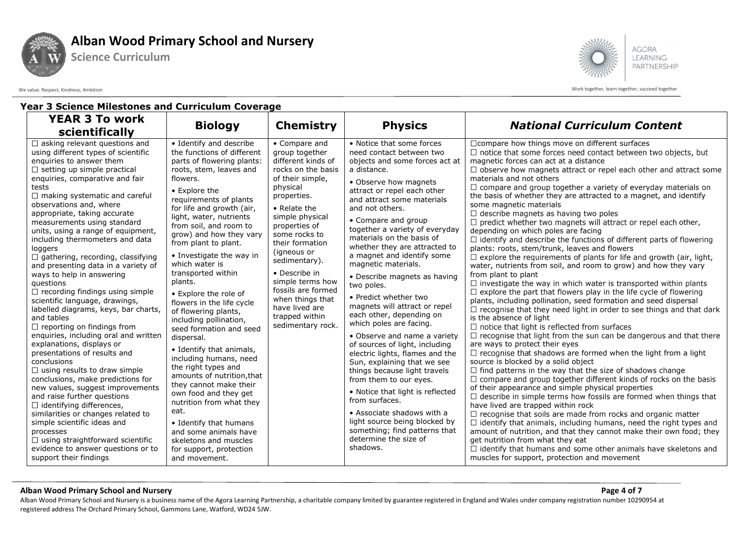

**Science Curriculum**



We value: Respect, Kindness, Ambition work together, learn together, learn together, learn together, learn together, learn together, learn together, succeed together

## **Year 3 Science Milestones and Curriculum Coverage**

| <b>YEAR 3 To work</b><br>scientifically                                                                                                                                                                                                                                                                                                                                                                                                                                                                                                                                                                                                                                                                                                                                                                                                                                                                                                                                                                                                                                                                                                                                                                                 | <b>Biology</b>                                                                                                                                                                                                                                                                                                                                                                                                                                                                                                                                                                                                                                                                                                                                                                                                                                                       | <b>Chemistry</b>                                                                                                                                                                                                                                                                                                                                                                           | <b>Physics</b>                                                                                                                                                                                                                                                                                                                                                                                                                                                                                                                                                                                                                                                                                                                                                                                                                                                                                                                                      | <b>National Curriculum Content</b>                                                                                                                                                                                                                                                                                                                                                                                                                                                                                                                                                                                                                                                                                                                                                                                                                                                                                                                                                                                                                                                                                                                                                                                                                                                                                                                                                                                                                                                                                                                                                                                                                                                                                                                                                                                                                                                                                                                                                                                                                                                                                                                                                                                                                          |
|-------------------------------------------------------------------------------------------------------------------------------------------------------------------------------------------------------------------------------------------------------------------------------------------------------------------------------------------------------------------------------------------------------------------------------------------------------------------------------------------------------------------------------------------------------------------------------------------------------------------------------------------------------------------------------------------------------------------------------------------------------------------------------------------------------------------------------------------------------------------------------------------------------------------------------------------------------------------------------------------------------------------------------------------------------------------------------------------------------------------------------------------------------------------------------------------------------------------------|----------------------------------------------------------------------------------------------------------------------------------------------------------------------------------------------------------------------------------------------------------------------------------------------------------------------------------------------------------------------------------------------------------------------------------------------------------------------------------------------------------------------------------------------------------------------------------------------------------------------------------------------------------------------------------------------------------------------------------------------------------------------------------------------------------------------------------------------------------------------|--------------------------------------------------------------------------------------------------------------------------------------------------------------------------------------------------------------------------------------------------------------------------------------------------------------------------------------------------------------------------------------------|-----------------------------------------------------------------------------------------------------------------------------------------------------------------------------------------------------------------------------------------------------------------------------------------------------------------------------------------------------------------------------------------------------------------------------------------------------------------------------------------------------------------------------------------------------------------------------------------------------------------------------------------------------------------------------------------------------------------------------------------------------------------------------------------------------------------------------------------------------------------------------------------------------------------------------------------------------|-------------------------------------------------------------------------------------------------------------------------------------------------------------------------------------------------------------------------------------------------------------------------------------------------------------------------------------------------------------------------------------------------------------------------------------------------------------------------------------------------------------------------------------------------------------------------------------------------------------------------------------------------------------------------------------------------------------------------------------------------------------------------------------------------------------------------------------------------------------------------------------------------------------------------------------------------------------------------------------------------------------------------------------------------------------------------------------------------------------------------------------------------------------------------------------------------------------------------------------------------------------------------------------------------------------------------------------------------------------------------------------------------------------------------------------------------------------------------------------------------------------------------------------------------------------------------------------------------------------------------------------------------------------------------------------------------------------------------------------------------------------------------------------------------------------------------------------------------------------------------------------------------------------------------------------------------------------------------------------------------------------------------------------------------------------------------------------------------------------------------------------------------------------------------------------------------------------------------------------------------------------|
| $\Box$ asking relevant questions and<br>using different types of scientific<br>enquiries to answer them<br>$\Box$ setting up simple practical<br>enquiries, comparative and fair<br>tests<br>$\Box$ making systematic and careful<br>observations and, where<br>appropriate, taking accurate<br>measurements using standard<br>units, using a range of equipment,<br>including thermometers and data<br>loggers<br>$\Box$ gathering, recording, classifying<br>and presenting data in a variety of<br>ways to help in answering<br>questions<br>$\Box$ recording findings using simple<br>scientific language, drawings,<br>labelled diagrams, keys, bar charts,<br>and tables<br>$\Box$ reporting on findings from<br>enquiries, including oral and written<br>explanations, displays or<br>presentations of results and<br>conclusions<br>$\Box$ using results to draw simple<br>conclusions, make predictions for<br>new values, suggest improvements<br>and raise further questions<br>$\Box$ identifying differences,<br>similarities or changes related to<br>simple scientific ideas and<br>processes<br>$\Box$ using straightforward scientific<br>evidence to answer questions or to<br>support their findings | • Identify and describe<br>the functions of different<br>parts of flowering plants:<br>roots, stem, leaves and<br>flowers.<br>• Explore the<br>requirements of plants<br>for life and growth (air,<br>light, water, nutrients<br>from soil, and room to<br>grow) and how they vary<br>from plant to plant.<br>• Investigate the way in<br>which water is<br>transported within<br>plants.<br>• Explore the role of<br>flowers in the life cycle<br>of flowering plants,<br>including pollination,<br>seed formation and seed<br>dispersal.<br>• Identify that animals,<br>including humans, need<br>the right types and<br>amounts of nutrition, that<br>they cannot make their<br>own food and they get<br>nutrition from what they<br>eat.<br>• Identify that humans<br>and some animals have<br>skeletons and muscles<br>for support, protection<br>and movement. | • Compare and<br>group together<br>different kinds of<br>rocks on the basis<br>of their simple,<br>physical<br>properties.<br>• Relate the<br>simple physical<br>properties of<br>some rocks to<br>their formation<br>(igneous or<br>sedimentary).<br>• Describe in<br>simple terms how<br>fossils are formed<br>when things that<br>have lived are<br>trapped within<br>sedimentary rock. | • Notice that some forces<br>need contact between two<br>objects and some forces act at<br>a distance.<br>• Observe how magnets<br>attract or repel each other<br>and attract some materials<br>and not others.<br>• Compare and group<br>together a variety of everyday<br>materials on the basis of<br>whether they are attracted to<br>a magnet and identify some<br>magnetic materials.<br>• Describe magnets as having<br>two poles.<br>• Predict whether two<br>magnets will attract or repel<br>each other, depending on<br>which poles are facing.<br>• Observe and name a variety<br>of sources of light, including<br>electric lights, flames and the<br>Sun, explaining that we see<br>things because light travels<br>from them to our eyes.<br>• Notice that light is reflected<br>from surfaces.<br>• Associate shadows with a<br>light source being blocked by<br>something; find patterns that<br>determine the size of<br>shadows. | $\Box$ compare how things move on different surfaces<br>$\Box$ notice that some forces need contact between two objects, but<br>magnetic forces can act at a distance<br>$\Box$ observe how magnets attract or repel each other and attract some<br>materials and not others<br>$\Box$ compare and group together a variety of everyday materials on<br>the basis of whether they are attracted to a magnet, and identify<br>some magnetic materials<br>$\Box$ describe magnets as having two poles<br>$\Box$ predict whether two magnets will attract or repel each other,<br>depending on which poles are facing<br>$\Box$ identify and describe the functions of different parts of flowering<br>plants: roots, stem/trunk, leaves and flowers<br>$\Box$ explore the requirements of plants for life and growth (air, light,<br>water, nutrients from soil, and room to grow) and how they vary<br>from plant to plant<br>$\Box$ investigate the way in which water is transported within plants<br>$\Box$ explore the part that flowers play in the life cycle of flowering<br>plants, including pollination, seed formation and seed dispersal<br>$\Box$ recognise that they need light in order to see things and that dark<br>is the absence of light<br>$\Box$ notice that light is reflected from surfaces<br>$\Box$ recognise that light from the sun can be dangerous and that there<br>are ways to protect their eyes<br>$\Box$ recognise that shadows are formed when the light from a light<br>source is blocked by a solid object<br>$\Box$ find patterns in the way that the size of shadows change<br>$\Box$ compare and group together different kinds of rocks on the basis<br>of their appearance and simple physical properties<br>$\Box$ describe in simple terms how fossils are formed when things that<br>have lived are trapped within rock<br>$\Box$ recognise that soils are made from rocks and organic matter<br>$\Box$ identify that animals, including humans, need the right types and<br>amount of nutrition, and that they cannot make their own food; they<br>get nutrition from what they eat<br>$\Box$ identify that humans and some other animals have skeletons and<br>muscles for support, protection and movement |

#### **Alban Wood Primary School and Nursery Page 4 of 7**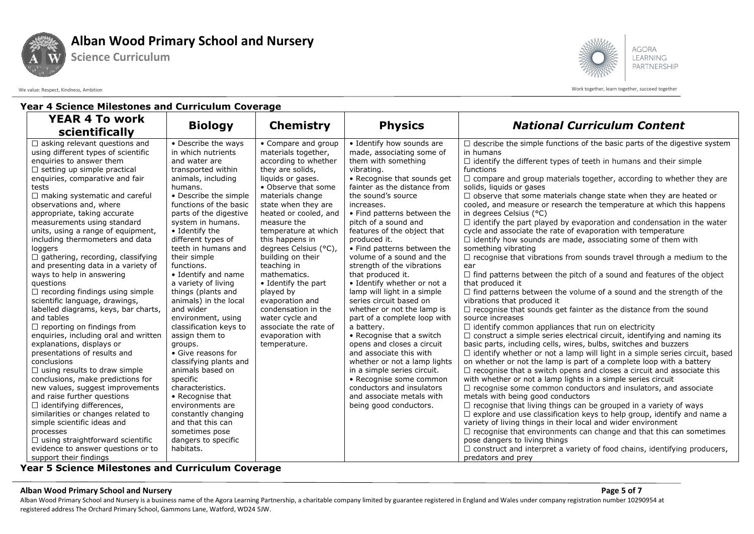

**Science Curriculum**



We value: Respect, Kindness, Ambition work together, learn together, learn together, learn together, learn together, learn together, learn together, succeed together

### **Year 4 Science Milestones and Curriculum Coverage**

| <b>YEAR 4 To work</b>                                            | <b>Biology</b>                    | <b>Chemistry</b>                 | <b>Physics</b>                                           | <b>National Curriculum Content</b>                                                  |
|------------------------------------------------------------------|-----------------------------------|----------------------------------|----------------------------------------------------------|-------------------------------------------------------------------------------------|
| scientifically                                                   |                                   |                                  |                                                          |                                                                                     |
| $\Box$ asking relevant questions and                             | • Describe the ways               | • Compare and group              | • Identify how sounds are                                | $\Box$ describe the simple functions of the basic parts of the digestive system     |
| using different types of scientific                              | in which nutrients                | materials together,              | made, associating some of                                | in humans                                                                           |
| enquiries to answer them                                         | and water are                     | according to whether             | them with something                                      | $\Box$ identify the different types of teeth in humans and their simple             |
| $\Box$ setting up simple practical                               | transported within                | they are solids,                 | vibrating.                                               | functions                                                                           |
| enquiries, comparative and fair                                  | animals, including                | liquids or gases.                | • Recognise that sounds get                              | $\Box$ compare and group materials together, according to whether they are          |
| tests                                                            | humans.                           | • Observe that some              | fainter as the distance from                             | solids, liquids or gases                                                            |
| $\Box$ making systematic and careful                             | • Describe the simple             | materials change                 | the sound's source                                       | $\Box$ observe that some materials change state when they are heated or             |
| observations and, where                                          | functions of the basic            | state when they are              | increases.                                               | cooled, and measure or research the temperature at which this happens               |
| appropriate, taking accurate                                     | parts of the digestive            | heated or cooled, and            | • Find patterns between the                              | in degrees Celsius (°C)                                                             |
| measurements using standard                                      | system in humans.                 | measure the                      | pitch of a sound and                                     | $\Box$ identify the part played by evaporation and condensation in the water        |
| units, using a range of equipment,                               | • Identify the                    | temperature at which             | features of the object that                              | cycle and associate the rate of evaporation with temperature                        |
| including thermometers and data                                  | different types of                | this happens in                  | produced it.                                             | $\Box$ identify how sounds are made, associating some of them with                  |
| loggers                                                          | teeth in humans and               | degrees Celsius (°C),            | • Find patterns between the<br>volume of a sound and the | something vibrating                                                                 |
| $\Box$ gathering, recording, classifying                         | their simple                      | building on their<br>teaching in | strength of the vibrations                               | $\Box$ recognise that vibrations from sounds travel through a medium to the         |
| and presenting data in a variety of<br>ways to help in answering | functions.<br>• Identify and name | mathematics.                     | that produced it.                                        | ear<br>$\Box$ find patterns between the pitch of a sound and features of the object |
| questions                                                        | a variety of living               | • Identify the part              | • Identify whether or not a                              | that produced it                                                                    |
| $\Box$ recording findings using simple                           | things (plants and                | played by                        | lamp will light in a simple                              | $\Box$ find patterns between the volume of a sound and the strength of the          |
| scientific language, drawings,                                   | animals) in the local             | evaporation and                  | series circuit based on                                  | vibrations that produced it                                                         |
| labelled diagrams, keys, bar charts,                             | and wider                         | condensation in the              | whether or not the lamp is                               | $\Box$ recognise that sounds get fainter as the distance from the sound             |
| and tables                                                       | environment, using                | water cycle and                  | part of a complete loop with                             | source increases                                                                    |
| $\Box$ reporting on findings from                                | classification keys to            | associate the rate of            | a battery.                                               | $\Box$ identify common appliances that run on electricity                           |
| enquiries, including oral and written                            | assign them to                    | evaporation with                 | • Recognise that a switch                                | $\Box$ construct a simple series electrical circuit, identifying and naming its     |
| explanations, displays or                                        | groups.                           | temperature.                     | opens and closes a circuit                               | basic parts, including cells, wires, bulbs, switches and buzzers                    |
| presentations of results and                                     | • Give reasons for                |                                  | and associate this with                                  | $\Box$ identify whether or not a lamp will light in a simple series circuit, based  |
| conclusions                                                      | classifying plants and            |                                  | whether or not a lamp lights                             | on whether or not the lamp is part of a complete loop with a battery                |
| $\Box$ using results to draw simple                              | animals based on                  |                                  | in a simple series circuit.                              | $\Box$ recognise that a switch opens and closes a circuit and associate this        |
| conclusions, make predictions for                                | specific                          |                                  | • Recognise some common                                  | with whether or not a lamp lights in a simple series circuit                        |
| new values, suggest improvements                                 | characteristics.                  |                                  | conductors and insulators                                | $\Box$ recognise some common conductors and insulators, and associate               |
| and raise further questions                                      | • Recognise that                  |                                  | and associate metals with                                | metals with being good conductors                                                   |
| $\Box$ identifying differences,                                  | environments are                  |                                  | being good conductors.                                   | $\Box$ recognise that living things can be grouped in a variety of ways             |
| similarities or changes related to                               | constantly changing               |                                  |                                                          | $\Box$ explore and use classification keys to help group, identify and name a       |
| simple scientific ideas and                                      | and that this can                 |                                  |                                                          | variety of living things in their local and wider environment                       |
| processes                                                        | sometimes pose                    |                                  |                                                          | $\Box$ recognise that environments can change and that this can sometimes           |
| $\Box$ using straightforward scientific                          | dangers to specific               |                                  |                                                          | pose dangers to living things                                                       |
| evidence to answer questions or to                               | habitats.                         |                                  |                                                          | $\Box$ construct and interpret a variety of food chains, identifying producers,     |
| support their findings<br>---<br>.                               | .<br>$\overline{\phantom{a}}$     |                                  |                                                          | predators and prey                                                                  |

**Year 5 Science Milestones and Curriculum Coverage** 

#### **Alban Wood Primary School and Nursery Page 5 of 7**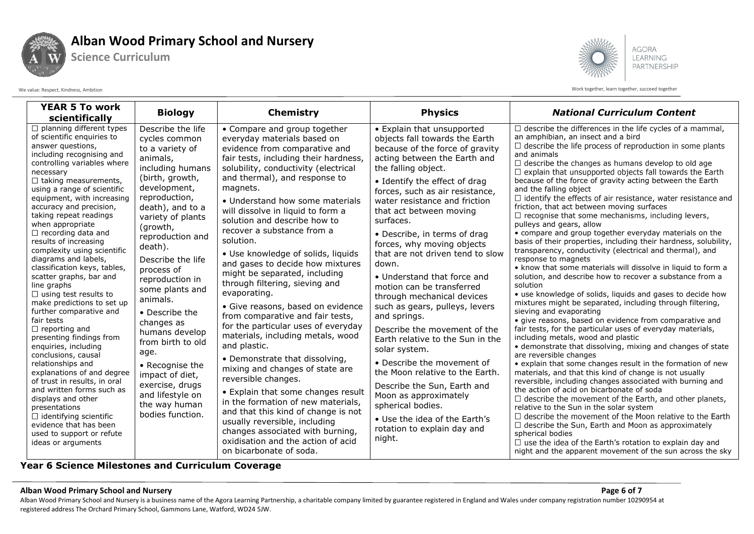

**Science Curriculum**

**AGORA** LEARNING PARTNERSHIP

We value: Respect, Kindness, Ambition work together, learn together, learn together, learn together, learn together, learn together, learn together, succeed together

| <b>YEAR 5 To work</b><br>scientifically                                                                                                                                                                                                                                                                                                                                                                                                                                                                                                                                                                                                                                                                                                                                                                                                                                                                                                                                                                | <b>Biology</b>                                                                                                                                                                                                                                                                                                                                                                                                                                                                                                      | <b>Chemistry</b>                                                                                                                                                                                                                                                                                                                                                                                                                                                                                                                                                                                                                                                                                                                                                                                                                                                                                                                                                                                                                                                     | <b>Physics</b>                                                                                                                                                                                                                                                                                                                                                                                                                                                                                                                                                                                                                                                                                                                                                                                                                                                          | <b>National Curriculum Content</b>                                                                                                                                                                                                                                                                                                                                                                                                                                                                                                                                                                                                                                                                                                                                                                                                                                                                                                                                                                                                                                                                                                                                                                                                                                                                                                                                                                                                                                                                                                                                                                                                                                                                                                                                                                                                                                                                                                                                                                                           |
|--------------------------------------------------------------------------------------------------------------------------------------------------------------------------------------------------------------------------------------------------------------------------------------------------------------------------------------------------------------------------------------------------------------------------------------------------------------------------------------------------------------------------------------------------------------------------------------------------------------------------------------------------------------------------------------------------------------------------------------------------------------------------------------------------------------------------------------------------------------------------------------------------------------------------------------------------------------------------------------------------------|---------------------------------------------------------------------------------------------------------------------------------------------------------------------------------------------------------------------------------------------------------------------------------------------------------------------------------------------------------------------------------------------------------------------------------------------------------------------------------------------------------------------|----------------------------------------------------------------------------------------------------------------------------------------------------------------------------------------------------------------------------------------------------------------------------------------------------------------------------------------------------------------------------------------------------------------------------------------------------------------------------------------------------------------------------------------------------------------------------------------------------------------------------------------------------------------------------------------------------------------------------------------------------------------------------------------------------------------------------------------------------------------------------------------------------------------------------------------------------------------------------------------------------------------------------------------------------------------------|-------------------------------------------------------------------------------------------------------------------------------------------------------------------------------------------------------------------------------------------------------------------------------------------------------------------------------------------------------------------------------------------------------------------------------------------------------------------------------------------------------------------------------------------------------------------------------------------------------------------------------------------------------------------------------------------------------------------------------------------------------------------------------------------------------------------------------------------------------------------------|------------------------------------------------------------------------------------------------------------------------------------------------------------------------------------------------------------------------------------------------------------------------------------------------------------------------------------------------------------------------------------------------------------------------------------------------------------------------------------------------------------------------------------------------------------------------------------------------------------------------------------------------------------------------------------------------------------------------------------------------------------------------------------------------------------------------------------------------------------------------------------------------------------------------------------------------------------------------------------------------------------------------------------------------------------------------------------------------------------------------------------------------------------------------------------------------------------------------------------------------------------------------------------------------------------------------------------------------------------------------------------------------------------------------------------------------------------------------------------------------------------------------------------------------------------------------------------------------------------------------------------------------------------------------------------------------------------------------------------------------------------------------------------------------------------------------------------------------------------------------------------------------------------------------------------------------------------------------------------------------------------------------------|
| $\Box$ planning different types<br>of scientific enquiries to<br>answer questions,<br>including recognising and<br>controlling variables where<br>necessary<br>$\Box$ taking measurements,<br>using a range of scientific<br>equipment, with increasing<br>accuracy and precision,<br>taking repeat readings<br>when appropriate<br>$\Box$ recording data and<br>results of increasing<br>complexity using scientific<br>diagrams and labels,<br>classification keys, tables,<br>scatter graphs, bar and<br>line graphs<br>$\Box$ using test results to<br>make predictions to set up<br>further comparative and<br>fair tests<br>$\Box$ reporting and<br>presenting findings from<br>enquiries, including<br>conclusions, causal<br>relationships and<br>explanations of and degree<br>of trust in results, in oral<br>and written forms such as<br>displays and other<br>presentations<br>$\Box$ identifying scientific<br>evidence that has been<br>used to support or refute<br>ideas or arguments | Describe the life<br>cycles common<br>to a variety of<br>animals,<br>including humans<br>(birth, growth,<br>development,<br>reproduction,<br>death), and to a<br>variety of plants<br>(growth,<br>reproduction and<br>death).<br>Describe the life<br>process of<br>reproduction in<br>some plants and<br>animals.<br>• Describe the<br>changes as<br>humans develop<br>from birth to old<br>age.<br>• Recognise the<br>impact of diet,<br>exercise, drugs<br>and lifestyle on<br>the way human<br>bodies function. | • Compare and group together<br>everyday materials based on<br>evidence from comparative and<br>fair tests, including their hardness,<br>solubility, conductivity (electrical<br>and thermal), and response to<br>magnets.<br>• Understand how some materials<br>will dissolve in liquid to form a<br>solution and describe how to<br>recover a substance from a<br>solution.<br>• Use knowledge of solids, liquids<br>and gases to decide how mixtures<br>might be separated, including<br>through filtering, sieving and<br>evaporating.<br>• Give reasons, based on evidence<br>from comparative and fair tests,<br>for the particular uses of everyday<br>materials, including metals, wood<br>and plastic.<br>• Demonstrate that dissolving,<br>mixing and changes of state are<br>reversible changes.<br>• Explain that some changes result<br>in the formation of new materials,<br>and that this kind of change is not<br>usually reversible, including<br>changes associated with burning,<br>oxidisation and the action of acid<br>on bicarbonate of soda. | • Explain that unsupported<br>objects fall towards the Earth<br>because of the force of gravity<br>acting between the Earth and<br>the falling object.<br>• Identify the effect of drag<br>forces, such as air resistance,<br>water resistance and friction<br>that act between moving<br>surfaces.<br>• Describe, in terms of drag<br>forces, why moving objects<br>that are not driven tend to slow<br>down.<br>• Understand that force and<br>motion can be transferred<br>through mechanical devices<br>such as gears, pulleys, levers<br>and springs.<br>Describe the movement of the<br>Earth relative to the Sun in the<br>solar system.<br>• Describe the movement of<br>the Moon relative to the Earth.<br>Describe the Sun, Earth and<br>Moon as approximately<br>spherical bodies.<br>• Use the idea of the Earth's<br>rotation to explain day and<br>night. | $\Box$ describe the differences in the life cycles of a mammal,<br>an amphibian, an insect and a bird<br>$\Box$ describe the life process of reproduction in some plants<br>and animals<br>$\Box$ describe the changes as humans develop to old age<br>$\Box$ explain that unsupported objects fall towards the Earth<br>because of the force of gravity acting between the Earth<br>and the falling object<br>$\Box$ identify the effects of air resistance, water resistance and<br>friction, that act between moving surfaces<br>$\Box$ recognise that some mechanisms, including levers,<br>pulleys and gears, allow<br>• compare and group together everyday materials on the<br>basis of their properties, including their hardness, solubility,<br>transparency, conductivity (electrical and thermal), and<br>response to magnets<br>• know that some materials will dissolve in liquid to form a<br>solution, and describe how to recover a substance from a<br>solution<br>• use knowledge of solids, liquids and gases to decide how<br>mixtures might be separated, including through filtering,<br>sieving and evaporating<br>· give reasons, based on evidence from comparative and<br>fair tests, for the particular uses of everyday materials,<br>including metals, wood and plastic<br>• demonstrate that dissolving, mixing and changes of state<br>are reversible changes<br>• explain that some changes result in the formation of new<br>materials, and that this kind of change is not usually<br>reversible, including changes associated with burning and<br>the action of acid on bicarbonate of soda<br>$\Box$ describe the movement of the Earth, and other planets,<br>relative to the Sun in the solar system<br>$\Box$ describe the movement of the Moon relative to the Earth<br>$\Box$ describe the Sun, Earth and Moon as approximately<br>spherical bodies<br>$\Box$ use the idea of the Earth's rotation to explain day and<br>night and the apparent movement of the sun across the sky |

**Year 6 Science Milestones and Curriculum Coverage** 

#### **Alban Wood Primary School and Nursery Page 6 of 7**